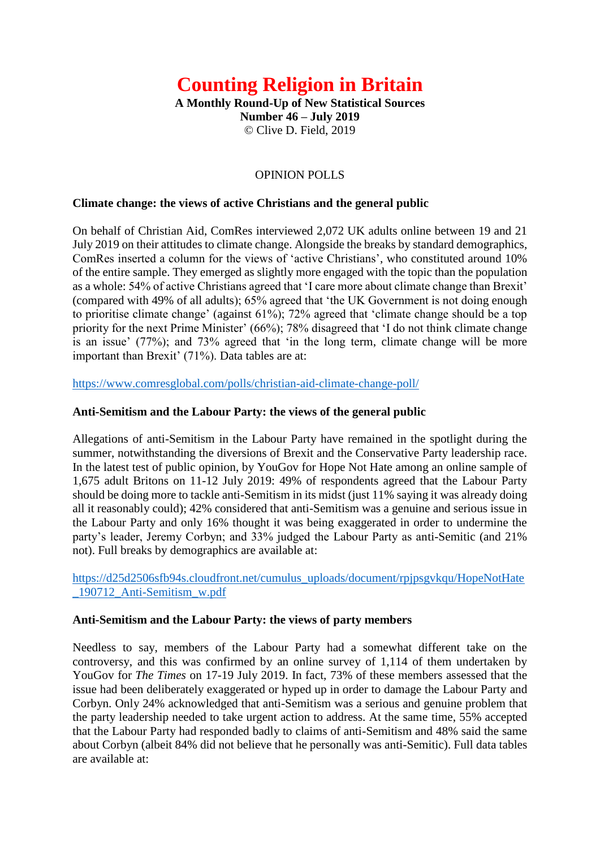# **Counting Religion in Britain**

**A Monthly Round-Up of New Statistical Sources Number 46 – July 2019** © Clive D. Field, 2019

# OPINION POLLS

#### **Climate change: the views of active Christians and the general public**

On behalf of Christian Aid, ComRes interviewed 2,072 UK adults online between 19 and 21 July 2019 on their attitudes to climate change. Alongside the breaks by standard demographics, ComRes inserted a column for the views of 'active Christians', who constituted around 10% of the entire sample. They emerged as slightly more engaged with the topic than the population as a whole: 54% of active Christians agreed that 'I care more about climate change than Brexit' (compared with 49% of all adults); 65% agreed that 'the UK Government is not doing enough to prioritise climate change' (against 61%); 72% agreed that 'climate change should be a top priority for the next Prime Minister' (66%); 78% disagreed that 'I do not think climate change is an issue' (77%); and 73% agreed that 'in the long term, climate change will be more important than Brexit' (71%). Data tables are at:

<https://www.comresglobal.com/polls/christian-aid-climate-change-poll/>

#### **Anti-Semitism and the Labour Party: the views of the general public**

Allegations of anti-Semitism in the Labour Party have remained in the spotlight during the summer, notwithstanding the diversions of Brexit and the Conservative Party leadership race. In the latest test of public opinion, by YouGov for Hope Not Hate among an online sample of 1,675 adult Britons on 11-12 July 2019: 49% of respondents agreed that the Labour Party should be doing more to tackle anti-Semitism in its midst (just 11% saying it was already doing all it reasonably could); 42% considered that anti-Semitism was a genuine and serious issue in the Labour Party and only 16% thought it was being exaggerated in order to undermine the party's leader, Jeremy Corbyn; and 33% judged the Labour Party as anti-Semitic (and 21% not). Full breaks by demographics are available at:

[https://d25d2506sfb94s.cloudfront.net/cumulus\\_uploads/document/rpjpsgvkqu/HopeNotHate](https://d25d2506sfb94s.cloudfront.net/cumulus_uploads/document/rpjpsgvkqu/HopeNotHate_190712_Anti-Semitism_w.pdf) [\\_190712\\_Anti-Semitism\\_w.pdf](https://d25d2506sfb94s.cloudfront.net/cumulus_uploads/document/rpjpsgvkqu/HopeNotHate_190712_Anti-Semitism_w.pdf)

#### **Anti-Semitism and the Labour Party: the views of party members**

Needless to say, members of the Labour Party had a somewhat different take on the controversy, and this was confirmed by an online survey of 1,114 of them undertaken by YouGov for *The Times* on 17-19 July 2019. In fact, 73% of these members assessed that the issue had been deliberately exaggerated or hyped up in order to damage the Labour Party and Corbyn. Only 24% acknowledged that anti-Semitism was a serious and genuine problem that the party leadership needed to take urgent action to address. At the same time, 55% accepted that the Labour Party had responded badly to claims of anti-Semitism and 48% said the same about Corbyn (albeit 84% did not believe that he personally was anti-Semitic). Full data tables are available at: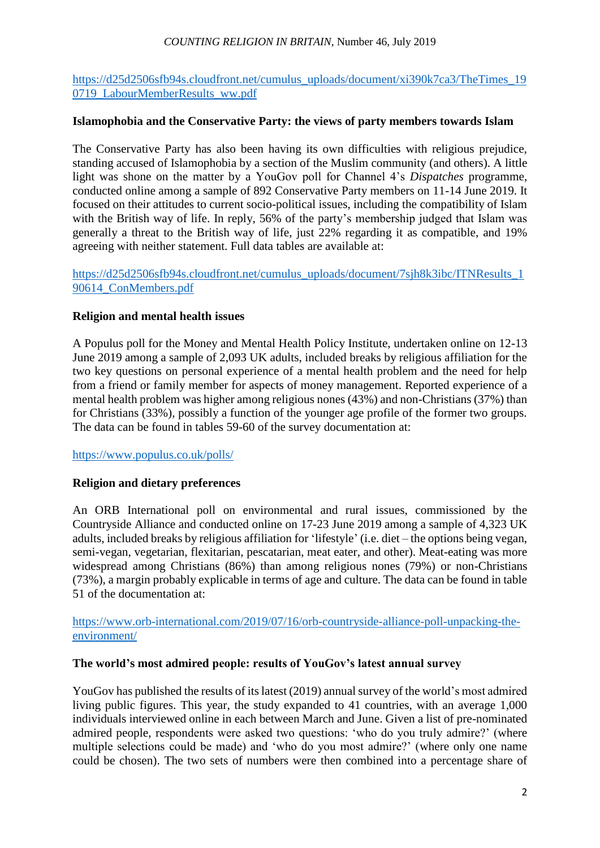## *COUNTING RELIGION IN BRITAIN*, Number 46, July 2019

[https://d25d2506sfb94s.cloudfront.net/cumulus\\_uploads/document/xi390k7ca3/TheTimes\\_19](https://d25d2506sfb94s.cloudfront.net/cumulus_uploads/document/xi390k7ca3/TheTimes_190719_LabourMemberResults_ww.pdf) [0719\\_LabourMemberResults\\_ww.pdf](https://d25d2506sfb94s.cloudfront.net/cumulus_uploads/document/xi390k7ca3/TheTimes_190719_LabourMemberResults_ww.pdf)

## **Islamophobia and the Conservative Party: the views of party members towards Islam**

The Conservative Party has also been having its own difficulties with religious prejudice, standing accused of Islamophobia by a section of the Muslim community (and others). A little light was shone on the matter by a YouGov poll for Channel 4's *Dispatches* programme, conducted online among a sample of 892 Conservative Party members on 11-14 June 2019. It focused on their attitudes to current socio-political issues, including the compatibility of Islam with the British way of life. In reply, 56% of the party's membership judged that Islam was generally a threat to the British way of life, just 22% regarding it as compatible, and 19% agreeing with neither statement. Full data tables are available at:

[https://d25d2506sfb94s.cloudfront.net/cumulus\\_uploads/document/7sjh8k3ibc/ITNResults\\_1](https://d25d2506sfb94s.cloudfront.net/cumulus_uploads/document/7sjh8k3ibc/ITNResults_190614_ConMembers.pdf) [90614\\_ConMembers.pdf](https://d25d2506sfb94s.cloudfront.net/cumulus_uploads/document/7sjh8k3ibc/ITNResults_190614_ConMembers.pdf)

## **Religion and mental health issues**

A Populus poll for the Money and Mental Health Policy Institute, undertaken online on 12-13 June 2019 among a sample of 2,093 UK adults, included breaks by religious affiliation for the two key questions on personal experience of a mental health problem and the need for help from a friend or family member for aspects of money management. Reported experience of a mental health problem was higher among religious nones (43%) and non-Christians (37%) than for Christians (33%), possibly a function of the younger age profile of the former two groups. The data can be found in tables 59-60 of the survey documentation at:

<https://www.populus.co.uk/polls/>

# **Religion and dietary preferences**

An ORB International poll on environmental and rural issues, commissioned by the Countryside Alliance and conducted online on 17-23 June 2019 among a sample of 4,323 UK adults, included breaks by religious affiliation for 'lifestyle' (i.e. diet – the options being vegan, semi-vegan, vegetarian, flexitarian, pescatarian, meat eater, and other). Meat-eating was more widespread among Christians (86%) than among religious nones (79%) or non-Christians (73%), a margin probably explicable in terms of age and culture. The data can be found in table 51 of the documentation at:

[https://www.orb-international.com/2019/07/16/orb-countryside-alliance-poll-unpacking-the](https://www.orb-international.com/2019/07/16/orb-countryside-alliance-poll-unpacking-the-environment/)[environment/](https://www.orb-international.com/2019/07/16/orb-countryside-alliance-poll-unpacking-the-environment/)

## **The world's most admired people: results of YouGov's latest annual survey**

YouGov has published the results of its latest (2019) annual survey of the world's most admired living public figures. This year, the study expanded to 41 countries, with an average 1,000 individuals interviewed online in each between March and June. Given a list of pre-nominated admired people, respondents were asked two questions: 'who do you truly admire?' (where multiple selections could be made) and 'who do you most admire?' (where only one name could be chosen). The two sets of numbers were then combined into a percentage share of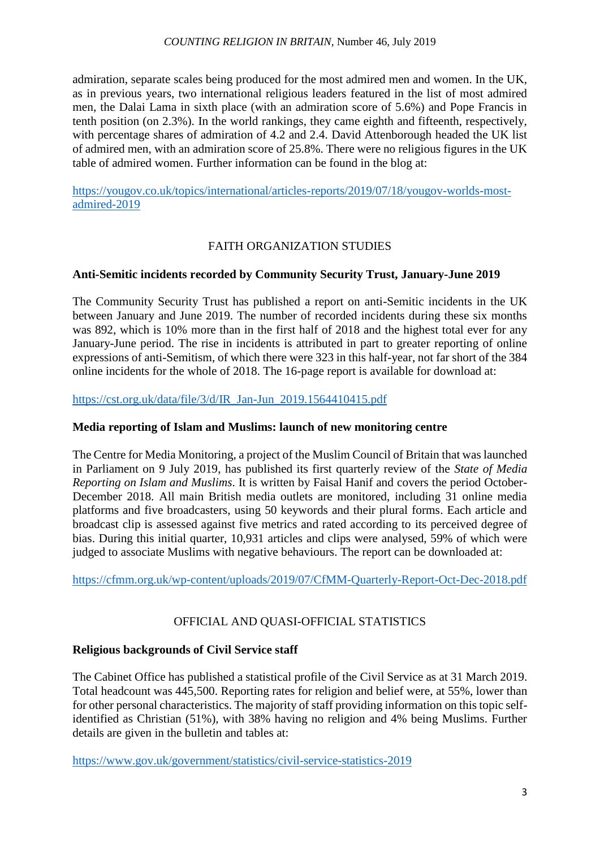## *COUNTING RELIGION IN BRITAIN*, Number 46, July 2019

admiration, separate scales being produced for the most admired men and women. In the UK, as in previous years, two international religious leaders featured in the list of most admired men, the Dalai Lama in sixth place (with an admiration score of 5.6%) and Pope Francis in tenth position (on 2.3%). In the world rankings, they came eighth and fifteenth, respectively, with percentage shares of admiration of 4.2 and 2.4. David Attenborough headed the UK list of admired men, with an admiration score of 25.8%. There were no religious figures in the UK table of admired women. Further information can be found in the blog at:

[https://yougov.co.uk/topics/international/articles-reports/2019/07/18/yougov-worlds-most](https://yougov.co.uk/topics/international/articles-reports/2019/07/18/yougov-worlds-most-admired-2019)[admired-2019](https://yougov.co.uk/topics/international/articles-reports/2019/07/18/yougov-worlds-most-admired-2019)

# FAITH ORGANIZATION STUDIES

## **Anti-Semitic incidents recorded by Community Security Trust, January-June 2019**

The Community Security Trust has published a report on anti-Semitic incidents in the UK between January and June 2019. The number of recorded incidents during these six months was 892, which is 10% more than in the first half of 2018 and the highest total ever for any January-June period. The rise in incidents is attributed in part to greater reporting of online expressions of anti-Semitism, of which there were 323 in this half-year, not far short of the 384 online incidents for the whole of 2018. The 16-page report is available for download at:

[https://cst.org.uk/data/file/3/d/IR\\_Jan-Jun\\_2019.1564410415.pdf](https://cst.org.uk/data/file/3/d/IR_Jan-Jun_2019.1564410415.pdf)

## **Media reporting of Islam and Muslims: launch of new monitoring centre**

The Centre for Media Monitoring, a project of the Muslim Council of Britain that was launched in Parliament on 9 July 2019, has published its first quarterly review of the *State of Media Reporting on Islam and Muslims*. It is written by Faisal Hanif and covers the period October-December 2018. All main British media outlets are monitored, including 31 online media platforms and five broadcasters, using 50 keywords and their plural forms. Each article and broadcast clip is assessed against five metrics and rated according to its perceived degree of bias. During this initial quarter, 10,931 articles and clips were analysed, 59% of which were judged to associate Muslims with negative behaviours. The report can be downloaded at:

<https://cfmm.org.uk/wp-content/uploads/2019/07/CfMM-Quarterly-Report-Oct-Dec-2018.pdf>

# OFFICIAL AND QUASI-OFFICIAL STATISTICS

## **Religious backgrounds of Civil Service staff**

The Cabinet Office has published a statistical profile of the Civil Service as at 31 March 2019. Total headcount was 445,500. Reporting rates for religion and belief were, at 55%, lower than for other personal characteristics. The majority of staff providing information on this topic selfidentified as Christian (51%), with 38% having no religion and 4% being Muslims. Further details are given in the bulletin and tables at:

<https://www.gov.uk/government/statistics/civil-service-statistics-2019>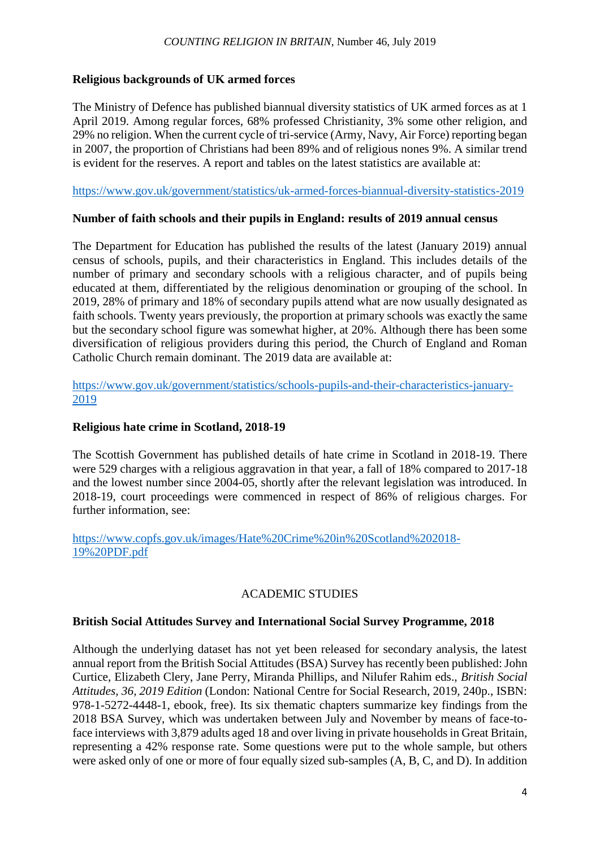#### *COUNTING RELIGION IN BRITAIN*, Number 46, July 2019

## **Religious backgrounds of UK armed forces**

The Ministry of Defence has published biannual diversity statistics of UK armed forces as at 1 April 2019. Among regular forces, 68% professed Christianity, 3% some other religion, and 29% no religion. When the current cycle of tri-service (Army, Navy, Air Force) reporting began in 2007, the proportion of Christians had been 89% and of religious nones 9%. A similar trend is evident for the reserves. A report and tables on the latest statistics are available at:

<https://www.gov.uk/government/statistics/uk-armed-forces-biannual-diversity-statistics-2019>

## **Number of faith schools and their pupils in England: results of 2019 annual census**

The Department for Education has published the results of the latest (January 2019) annual census of schools, pupils, and their characteristics in England. This includes details of the number of primary and secondary schools with a religious character, and of pupils being educated at them, differentiated by the religious denomination or grouping of the school. In 2019, 28% of primary and 18% of secondary pupils attend what are now usually designated as faith schools. Twenty years previously, the proportion at primary schools was exactly the same but the secondary school figure was somewhat higher, at 20%. Although there has been some diversification of religious providers during this period, the Church of England and Roman Catholic Church remain dominant. The 2019 data are available at:

[https://www.gov.uk/government/statistics/schools-pupils-and-their-characteristics-january-](https://www.gov.uk/government/statistics/schools-pupils-and-their-characteristics-january-2019)[2019](https://www.gov.uk/government/statistics/schools-pupils-and-their-characteristics-january-2019)

# **Religious hate crime in Scotland, 2018-19**

The Scottish Government has published details of hate crime in Scotland in 2018-19. There were 529 charges with a religious aggravation in that year, a fall of 18% compared to 2017-18 and the lowest number since 2004-05, shortly after the relevant legislation was introduced. In 2018-19, court proceedings were commenced in respect of 86% of religious charges. For further information, see:

[https://www.copfs.gov.uk/images/Hate%20Crime%20in%20Scotland%202018-](https://www.copfs.gov.uk/images/Hate%20Crime%20in%20Scotland%202018-19%20PDF.pdf) [19%20PDF.pdf](https://www.copfs.gov.uk/images/Hate%20Crime%20in%20Scotland%202018-19%20PDF.pdf)

# ACADEMIC STUDIES

# **British Social Attitudes Survey and International Social Survey Programme, 2018**

Although the underlying dataset has not yet been released for secondary analysis, the latest annual report from the British Social Attitudes (BSA) Survey has recently been published: John Curtice, Elizabeth Clery, Jane Perry, Miranda Phillips, and Nilufer Rahim eds., *British Social Attitudes, 36, 2019 Edition* (London: National Centre for Social Research, 2019, 240p., ISBN: 978-1-5272-4448-1, ebook, free). Its six thematic chapters summarize key findings from the 2018 BSA Survey, which was undertaken between July and November by means of face-toface interviews with 3,879 adults aged 18 and over living in private households in Great Britain, representing a 42% response rate. Some questions were put to the whole sample, but others were asked only of one or more of four equally sized sub-samples (A, B, C, and D). In addition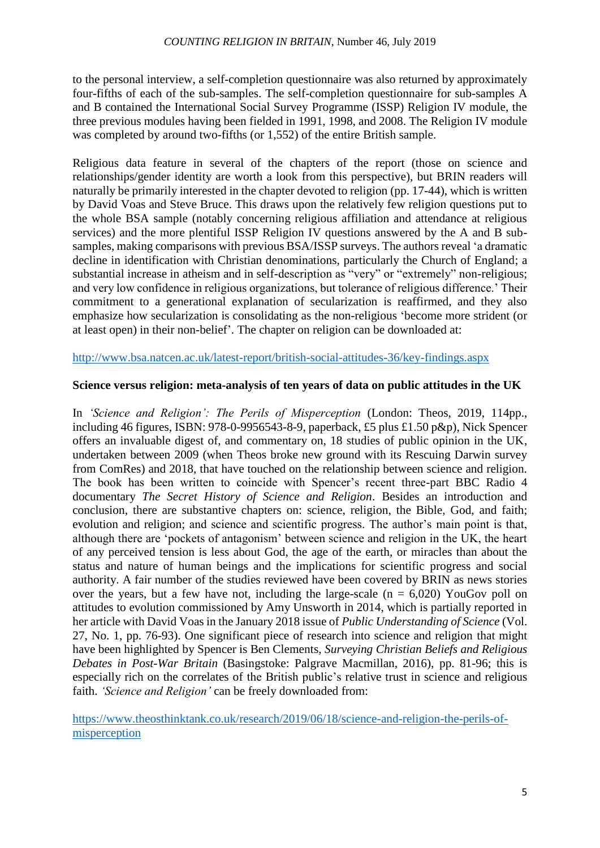to the personal interview, a self-completion questionnaire was also returned by approximately four-fifths of each of the sub-samples. The self-completion questionnaire for sub-samples A and B contained the International Social Survey Programme (ISSP) Religion IV module, the three previous modules having been fielded in 1991, 1998, and 2008. The Religion IV module was completed by around two-fifths (or 1,552) of the entire British sample.

Religious data feature in several of the chapters of the report (those on science and relationships/gender identity are worth a look from this perspective), but BRIN readers will naturally be primarily interested in the chapter devoted to religion (pp. 17-44), which is written by David Voas and Steve Bruce. This draws upon the relatively few religion questions put to the whole BSA sample (notably concerning religious affiliation and attendance at religious services) and the more plentiful ISSP Religion IV questions answered by the A and B subsamples, making comparisons with previous BSA/ISSP surveys. The authors reveal 'a dramatic decline in identification with Christian denominations, particularly the Church of England; a substantial increase in atheism and in self-description as "very" or "extremely" non-religious; and very low confidence in religious organizations, but tolerance of religious difference.' Their commitment to a generational explanation of secularization is reaffirmed, and they also emphasize how secularization is consolidating as the non-religious 'become more strident (or at least open) in their non-belief'. The chapter on religion can be downloaded at:

## <http://www.bsa.natcen.ac.uk/latest-report/british-social-attitudes-36/key-findings.aspx>

# **Science versus religion: meta-analysis of ten years of data on public attitudes in the UK**

In *'Science and Religion': The Perils of Misperception* (London: Theos, 2019, 114pp., including 46 figures, ISBN: 978-0-9956543-8-9, paperback, £5 plus £1.50 p&p), Nick Spencer offers an invaluable digest of, and commentary on, 18 studies of public opinion in the UK, undertaken between 2009 (when Theos broke new ground with its Rescuing Darwin survey from ComRes) and 2018, that have touched on the relationship between science and religion. The book has been written to coincide with Spencer's recent three-part BBC Radio 4 documentary *The Secret History of Science and Religion*. Besides an introduction and conclusion, there are substantive chapters on: science, religion, the Bible, God, and faith; evolution and religion; and science and scientific progress. The author's main point is that, although there are 'pockets of antagonism' between science and religion in the UK, the heart of any perceived tension is less about God, the age of the earth, or miracles than about the status and nature of human beings and the implications for scientific progress and social authority. A fair number of the studies reviewed have been covered by BRIN as news stories over the years, but a few have not, including the large-scale  $(n = 6,020)$  YouGov poll on attitudes to evolution commissioned by Amy Unsworth in 2014, which is partially reported in her article with David Voas in the January 2018 issue of *Public Understanding of Science* (Vol. 27, No. 1, pp. 76-93). One significant piece of research into science and religion that might have been highlighted by Spencer is Ben Clements, *Surveying Christian Beliefs and Religious Debates in Post-War Britain* (Basingstoke: Palgrave Macmillan, 2016), pp. 81-96; this is especially rich on the correlates of the British public's relative trust in science and religious faith. *'Science and Religion'* can be freely downloaded from:

[https://www.theosthinktank.co.uk/research/2019/06/18/science-and-religion-the-perils-of](https://www.theosthinktank.co.uk/research/2019/06/18/science-and-religion-the-perils-of-misperception)[misperception](https://www.theosthinktank.co.uk/research/2019/06/18/science-and-religion-the-perils-of-misperception)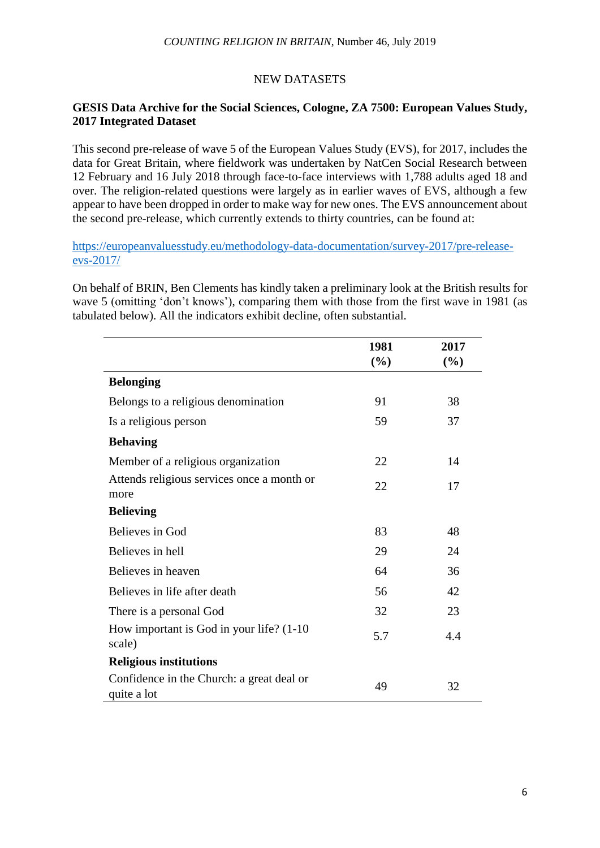# NEW DATASETS

## **GESIS Data Archive for the Social Sciences, Cologne, ZA 7500: European Values Study, 2017 Integrated Dataset**

This second pre-release of wave 5 of the European Values Study (EVS), for 2017, includes the data for Great Britain, where fieldwork was undertaken by NatCen Social Research between 12 February and 16 July 2018 through face-to-face interviews with 1,788 adults aged 18 and over. The religion-related questions were largely as in earlier waves of EVS, although a few appear to have been dropped in order to make way for new ones. The EVS announcement about the second pre-release, which currently extends to thirty countries, can be found at:

[https://europeanvaluesstudy.eu/methodology-data-documentation/survey-2017/pre-release](https://europeanvaluesstudy.eu/methodology-data-documentation/survey-2017/pre-release-evs-2017/)[evs-2017/](https://europeanvaluesstudy.eu/methodology-data-documentation/survey-2017/pre-release-evs-2017/)

On behalf of BRIN, Ben Clements has kindly taken a preliminary look at the British results for wave 5 (omitting 'don't knows'), comparing them with those from the first wave in 1981 (as tabulated below). All the indicators exhibit decline, often substantial.

|                                                          | 1981<br>(%) | 2017<br>$(\%)$ |
|----------------------------------------------------------|-------------|----------------|
|                                                          |             |                |
| <b>Belonging</b>                                         |             |                |
| Belongs to a religious denomination                      | 91          | 38             |
| Is a religious person                                    | 59          | 37             |
| <b>Behaving</b>                                          |             |                |
| Member of a religious organization                       | 22          | 14             |
| Attends religious services once a month or<br>more       | 22          | 17             |
| <b>Believing</b>                                         |             |                |
| Believes in God                                          | 83          | 48             |
| Believes in hell                                         | 29          | 24             |
| Believes in heaven                                       | 64          | 36             |
| Believes in life after death                             | 56          | 42             |
| There is a personal God                                  | 32          | 23             |
| How important is God in your life? (1-10)<br>scale)      | 5.7         | 4.4            |
| <b>Religious institutions</b>                            |             |                |
| Confidence in the Church: a great deal or<br>quite a lot | 49          | 32             |